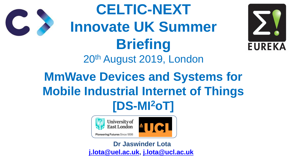**MmWave Devices and Systems for Mobile Industrial Internet of Things [DS-MI<sup>2</sup>oT] CELTIC-NEXT Innovate UK Summer Briefing** 20th August 2019, London



Pioneering Futures Since 1898

**Dr Jaswinder Lota [j.lota@uel.ac.uk,](mailto:j.lota@uel.ac.uk) [j.lota@ucl.ac.uk](mailto:j.lota@ucl.ac.uk)**





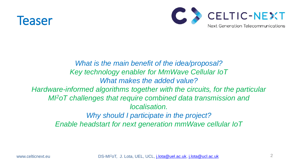

### *What is the main benefit of the idea/proposal? Key technology enabler for MmWave Cellular IoT What makes the added value? Hardware-informed algorithms together with the circuits, for the particular MI<sup>2</sup>oT challenges that require combined data transmission and localisation. Why should I participate in the project?*



- 
- 
- *Enable headstart for next generation mmWave cellular IoT*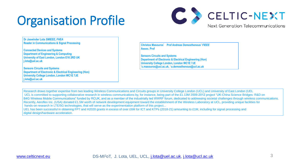# Organisation Profile

**Dr Jaswinder Lota** *SMIEEE, FHEA*  **Reader in Communications & Signal Processing**

**Connected Devices and Systems Department of Engineering & Computing University of East London, London E16 2RD UK j.lota@uel.ac.uk**

**Sensors Circuits and Systems Department of Electronic & Electrical Engineering (Hon) University College London, London WC1E 7JE j.lota@ucl.ac.uk**

**Christos Masouros \***  *Prof Andreas Demosthenous<sup>1</sup> FIEEE* **Assoc. Prof** 

**Sensors Circuits and Systems Department of Electronic & Electrical Engineering (Hon) University College London, London WC1E 7JE \*c.masouros@ucl.ac.uk, ˥ a.demosthenous@ucl.ac.uk**

[www.celticnext.eu](http://www.celticnext.eu/) DS-MI<sup>2</sup>oT, J. Lota, UEL, UCL, [j.lota@uel.ac.uk,](mailto:j.lota@uel.ac.uk) [j.lota@ucl.ac.uk](mailto:j.lota@ucl.ac.uk) 3





Research draws together expertise from two leading Wireless Communications and Circuits groups in University College London (UCL) and University of East London (UEL UCL is committed to supporting collaborative research in wireless communications by, for instance, being part of the £1.13M 2009-2012 project "UK-China Science Bridges: R&D on B4G Wireless Mobile Communications" funded by RCUK, and as a member of the industrially led WWRF forum, dedicated to addressing societal challenges through wireless communications. Recently, Aeroflex Inc. (USA) donated £1.5M worth of network development equipment toward the establishment of the Wireless Laboratory at UCL, providing unique facilities for hands-on research in LTE/5G technologies, that will serve as the experimentation platform of this project... UEL has been successful in obtaining FP7 and H2020 grants in excess of over £6M for ICT and KTPs (2018-21) amounting to £1M, including for signal processing and digital design/hardware acceleration.

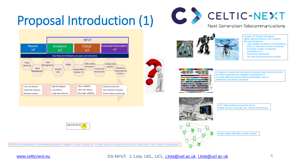# Proposal Introduction (1)









- 
- 
- 

interference and device complexity





FoF: High location accuracy 5m-20 cm. Radar sensors can locate, but , cannot communicate

Public Safety D2D adhoc mobile network





5GNR Rel-16 will allocate above 6 GHz f(MmWave) frequencies to facilitate 5x increase in capacity, and ~23x faster response (as compared to the current 4G network) with 1.4 GB/s of median of browsing speed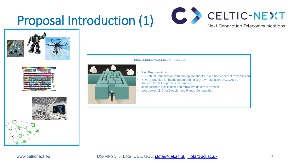## Proposal Introduction (1)











www.celticnext.eu **DS-MI<sup>2</sup>oT, J. Lota, UEL, UCL, [j.lota@uel.ac.uk](mailto:j.lota@uel.ac.uk)**, [j.lota@ucl.ac.uk](mailto:j.lota@ucl.ac.uk) 5



### **CHALLENGES ADDRESED AT UEL, UCL**

- **Fast Beam switching**
- CSI-robust transmission with analog codebooks, even non-coherent transmission
- Novel strategies for hybrid beamforming with low-resolution DACs/ADCs that can lower the power consumption
- Joint accurate localisation and mmWave data rate transfer
- Low power ASIC for Doppler and Range Computation

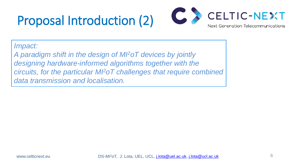# Proposal Introduction (2)

6

*Impact:*

*A paradigm shift in the design of MI<sup>2</sup>oT devices by jointly designing hardware-informed algorithms together with the circuits, for the particular MI<sup>2</sup>oT challenges that require combined data transmission and localisation.*

www.celticnext.eu DS-MI<sup>2</sup>oT, J. Lota, UEL, UCL, [j.lota@uel.ac.uk](mailto:j.lota@uel.ac.uk), [j.lota@ucl.ac.uk](mailto:j.lota@ucl.ac.uk)



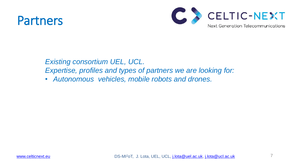## Partners

### *Existing consortium UEL, UCL. Expertise, profiles and types of partners we are looking for:* • *Autonomous vehicles, mobile robots and drones.*



[www.celticnext.eu](http://www.celticnext.eu/) DS-MI<sup>2</sup>oT, J. Lota, UEL, UCL, [j.lota@uel.ac.uk,](mailto:j.lota@uel.ac.uk) [j.lota@ucl.ac.uk](mailto:j.lota@ucl.ac.uk)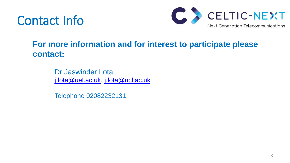## Contact Info

### **For more information and for interest to participate please contact:**

Dr Jaswinder Lota [j.lota@uel.ac.uk,](mailto:j.lota@uel.ac.uk) [j.lota@ucl.ac.uk](mailto:j.lota@ucl.ac.uk)

Telephone 02082232131